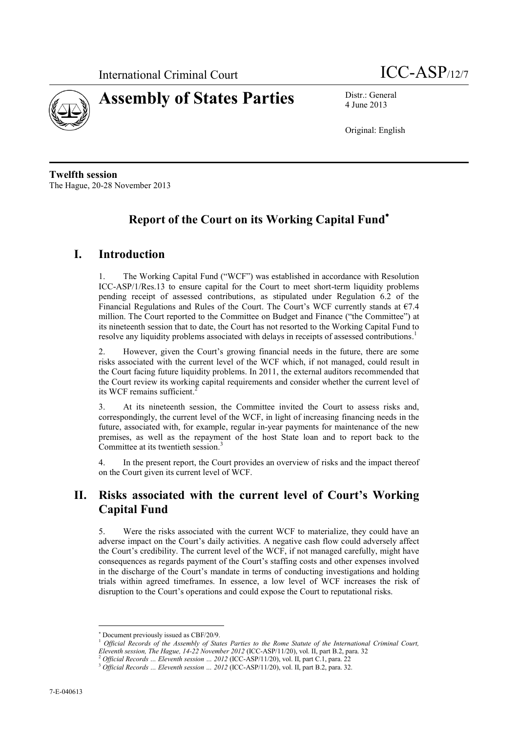



4 June 2013

Original: English

**Twelfth session** The Hague, 20-28 November 2013

# **Report of the Court on its Working Capital Fund**

### **I. Introduction**

1. The Working Capital Fund ("WCF") was established in accordance with Resolution ICC-ASP/1/Res.13 to ensure capital for the Court to meet short-term liquidity problems pending receipt of assessed contributions, as stipulated under Regulation 6.2 of the Financial Regulations and Rules of the Court. The Court's WCF currently stands at  $67.4$ million. The Court reported to the Committee on Budget and Finance ("the Committee") at its nineteenth session that to date, the Court has not resorted to the Working Capital Fund to resolve any liquidity problems associated with delays in receipts of assessed contributions.<sup>1</sup>

2. However, given the Court's growing financial needs in the future, there are some risks associated with the current level of the WCF which, if not managed, could result in the Court facing future liquidity problems. In 2011, the external auditors recommended that the Court review its working capital requirements and consider whether the current level of its WCF remains sufficient.<sup>2</sup>

3. At its nineteenth session, the Committee invited the Court to assess risks and, correspondingly, the current level of the WCF, in light of increasing financing needs in the future, associated with, for example, regular in-year payments for maintenance of the new premises, as well as the repayment of the host State loan and to report back to the Committee at its twentieth session.<sup>3</sup>

4. In the present report, the Court provides an overview of risks and the impact thereof on the Court given its current level of WCF.

# **II. Risks associated with the current level of Court's Working Capital Fund**

5. Were the risks associated with the current WCF to materialize, they could have an adverse impact on the Court's daily activities. A negative cash flow could adversely affect the Court's credibility. The current level of the WCF, if not managed carefully, might have consequences as regards payment of the Court's staffing costs and other expenses involved in the discharge of the Court's mandate in terms of conducting investigations and holding trials within agreed timeframes. In essence, a low level of WCF increases the risk of disruption to the Court's operations and could expose the Court to reputational risks.

 $\overline{a}$ 

Document previously issued as CBF/20/9.

<sup>1</sup> *Official Records of the Assembly of States Parties to the Rome Statute of the International Criminal Court, Eleventh session, The Hague, 14-22 November 2012* (ICC-ASP/11/20), vol. II, part B.2, para. 32

<sup>2</sup> *Official Records … Eleventh session … 2012* (ICC-ASP/11/20), vol. II, part C.1, para. 22

<sup>3</sup> *Official Records … Eleventh session … 2012* (ICC-ASP/11/20), vol. II, part B.2, para. 32.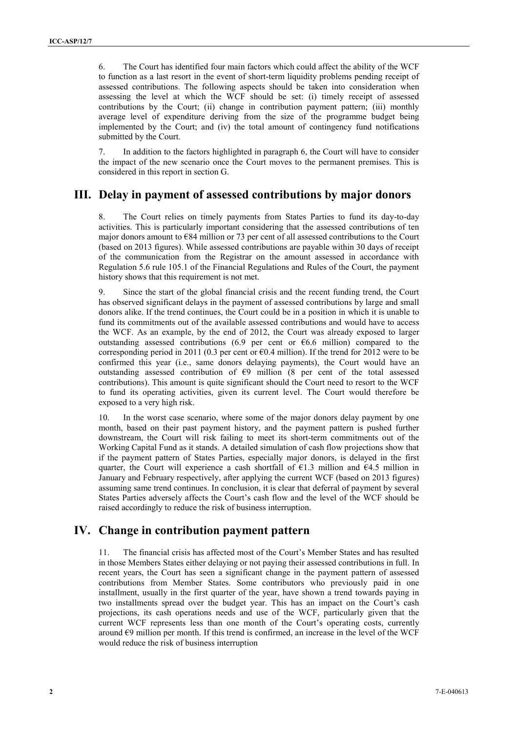6. The Court has identified four main factors which could affect the ability of the WCF to function as a last resort in the event of short-term liquidity problems pending receipt of assessed contributions. The following aspects should be taken into consideration when assessing the level at which the WCF should be set: (i) timely receipt of assessed contributions by the Court; (ii) change in contribution payment pattern; (iii) monthly average level of expenditure deriving from the size of the programme budget being implemented by the Court; and (iv) the total amount of contingency fund notifications submitted by the Court.

7. In addition to the factors highlighted in paragraph 6, the Court will have to consider the impact of the new scenario once the Court moves to the permanent premises. This is considered in this report in section G.

### **III. Delay in payment of assessed contributions by major donors**

8. The Court relies on timely payments from States Parties to fund its day-to-day activities. This is particularly important considering that the assessed contributions of ten major donors amount to  $\epsilon$ 84 million or 73 per cent of all assessed contributions to the Court (based on 2013 figures). While assessed contributions are payable within 30 days of receipt of the communication from the Registrar on the amount assessed in accordance with Regulation 5.6 rule 105.1 of the Financial Regulations and Rules of the Court, the payment history shows that this requirement is not met.

9. Since the start of the global financial crisis and the recent funding trend, the Court has observed significant delays in the payment of assessed contributions by large and small donors alike. If the trend continues, the Court could be in a position in which it is unable to fund its commitments out of the available assessed contributions and would have to access the WCF. As an example, by the end of 2012, the Court was already exposed to larger outstanding assessed contributions (6.9 per cent or  $66.6$  million) compared to the corresponding period in 2011 (0.3 per cent or  $\epsilon$ 0.4 million). If the trend for 2012 were to be confirmed this year (i.e., same donors delaying payments), the Court would have an outstanding assessed contribution of €9 million (8 per cent of the total assessed contributions). This amount is quite significant should the Court need to resort to the WCF to fund its operating activities, given its current level. The Court would therefore be exposed to a very high risk.

10. In the worst case scenario, where some of the major donors delay payment by one month, based on their past payment history, and the payment pattern is pushed further downstream, the Court will risk failing to meet its short-term commitments out of the Working Capital Fund as it stands. A detailed simulation of cash flow projections show that if the payment pattern of States Parties, especially major donors, is delayed in the first quarter, the Court will experience a cash shortfall of  $\epsilon$ 1.3 million and  $\epsilon$ 4.5 million in January and February respectively, after applying the current WCF (based on 2013 figures) assuming same trend continues. In conclusion, it is clear that deferral of payment by several States Parties adversely affects the Court's cash flow and the level of the WCF should be raised accordingly to reduce the risk of business interruption.

### **IV. Change in contribution payment pattern**

11. The financial crisis has affected most of the Court's Member States and has resulted in those Members States either delaying or not paying their assessed contributions in full. In recent years, the Court has seen a significant change in the payment pattern of assessed contributions from Member States. Some contributors who previously paid in one installment, usually in the first quarter of the year, have shown a trend towards paying in two installments spread over the budget year. This has an impact on the Court's cash projections, its cash operations needs and use of the WCF, particularly given that the current WCF represents less than one month of the Court's operating costs, currently around  $\epsilon$ 9 million per month. If this trend is confirmed, an increase in the level of the WCF would reduce the risk of business interruption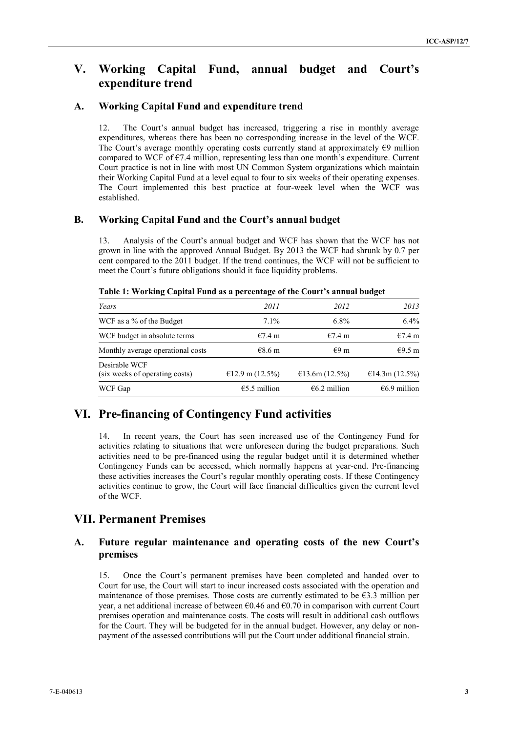## **V. Working Capital Fund, annual budget and Court's expenditure trend**

#### **A. Working Capital Fund and expenditure trend**

12. The Court's annual budget has increased, triggering a rise in monthly average expenditures, whereas there has been no corresponding increase in the level of the WCF. The Court's average monthly operating costs currently stand at approximately €9 million compared to WCF of  $\epsilon$ 7.4 million, representing less than one month's expenditure. Current Court practice is not in line with most UN Common System organizations which maintain their Working Capital Fund at a level equal to four to six weeks of their operating expenses. The Court implemented this best practice at four-week level when the WCF was established.

#### **B. Working Capital Fund and the Court's annual budget**

13. Analysis of the Court's annual budget and WCF has shown that the WCF has not grown in line with the approved Annual Budget. By 2013 the WCF had shrunk by 0.7 per cent compared to the 2011 budget. If the trend continues, the WCF will not be sufficient to meet the Court's future obligations should it face liquidity problems.

| Years                                           | 2011                   | 2012             | 2013             |
|-------------------------------------------------|------------------------|------------------|------------------|
| WCF as a % of the Budget                        | $7.1\%$                | $6.8\%$          | 6.4%             |
| WCF budget in absolute terms                    | €7.4 m                 | €7.4 m           | €7.4 m           |
| Monthly average operational costs               | $€8.6$ m               | €9 m             | $€9.5$ m         |
| Desirable WCF<br>(six weeks of operating costs) | €12.9 m $(12.5%)$      | €13.6m $(12.5%)$ | €14.3m $(12.5%)$ |
| WCF Gap                                         | $\epsilon$ 5.5 million | $66.2$ million   | €6.9 million     |

**Table 1: Working Capital Fund as a percentage of the Court's annual budget** 

## **VI. Pre-financing of Contingency Fund activities**

14. In recent years, the Court has seen increased use of the Contingency Fund for activities relating to situations that were unforeseen during the budget preparations. Such activities need to be pre-financed using the regular budget until it is determined whether Contingency Funds can be accessed, which normally happens at year-end. Pre-financing these activities increases the Court's regular monthly operating costs. If these Contingency activities continue to grow, the Court will face financial difficulties given the current level of the WCF.

### **VII. Permanent Premises**

#### **A. Future regular maintenance and operating costs of the new Court's premises**

15. Once the Court's permanent premises have been completed and handed over to Court for use, the Court will start to incur increased costs associated with the operation and maintenance of those premises. Those costs are currently estimated to be  $\epsilon$ 3.3 million per year, a net additional increase of between  $\epsilon$ 0.46 and  $\epsilon$ 0.70 in comparison with current Court premises operation and maintenance costs. The costs will result in additional cash outflows for the Court. They will be budgeted for in the annual budget. However, any delay or nonpayment of the assessed contributions will put the Court under additional financial strain.